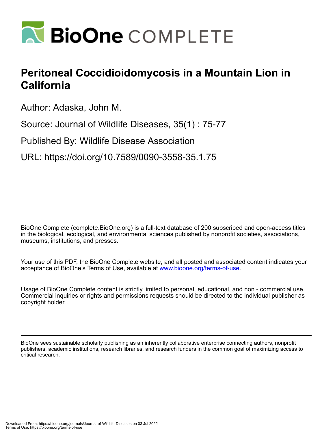

## **Peritoneal Coccidioidomycosis in a Mountain Lion in California**

Author: Adaska, John M.

Source: Journal of Wildlife Diseases, 35(1) : 75-77

Published By: Wildlife Disease Association

URL: https://doi.org/10.7589/0090-3558-35.1.75

BioOne Complete (complete.BioOne.org) is a full-text database of 200 subscribed and open-access titles in the biological, ecological, and environmental sciences published by nonprofit societies, associations, museums, institutions, and presses.

Your use of this PDF, the BioOne Complete website, and all posted and associated content indicates your acceptance of BioOne's Terms of Use, available at www.bioone.org/terms-of-use.

Usage of BioOne Complete content is strictly limited to personal, educational, and non - commercial use. Commercial inquiries or rights and permissions requests should be directed to the individual publisher as copyright holder.

BioOne sees sustainable scholarly publishing as an inherently collaborative enterprise connecting authors, nonprofit publishers, academic institutions, research libraries, and research funders in the common goal of maximizing access to critical research.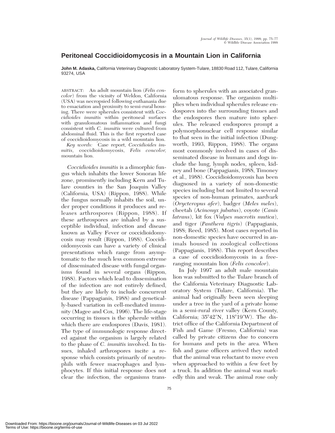## **Peritoneal Coccidioidomycosis in a Mountain Lion in California**

**John M. Adaska,** California Veterinary Diagnostic Laboratory System-Tulare, 18830 Road 112, Tulare, California 93274, USA

ABSTRACT: An adult mountain lion (*Felis concolor*) from the vicinity of Weldon, California (USA) was necropsied following euthanasia due to emaciation and proximity to semi-rural housing. There were spherules consistent with *Coccidioides immitis* within peritoneal surfaces with granulomatous inflammation and fungi consistent with *C. immitis* were cultured from abdominal fluid. This is the first reported case of coccidioidomycosis in a wild mountain lion.

*Key words:* Case report, *Coccidioides immitis,* coccidioidomycosis, *Felis concolor,* mountain lion.

*Coccidioides immitis* is a dimorphic fungus which inhabits the lower Sonoran life zone, prominently including Kern and Tulare counties in the San Joaquin Valley (California, USA) (Rippon, 1988). While the fungus normally inhabits the soil, under proper conditions it produces and releases arthrospores (Rippon, 1988). If these arthrospores are inhaled by a susceptible individual, infection and disease known as Valley Fever or coccidioidomycosis may result (Rippon, 1988). Coccidioidomycosis can have a variety of clinical presentations which range from asymptomatic to the much less common extreme of disseminated disease with fungal organisms found in several organs (Rippon, 1988). Factors which lead to dissemination of the infection are not entirely defined, but they are likely to include concurrent disease (Pappagianis, 1988) and genetically-based variation in cell-mediated immunity (Magee and Cox, 1996). The life-stage occurring in tissues is the spherule within which there are endospores (Davis, 1981). The type of immunologic response directed against the organism is largely related to the phase of *C. immitis* involved. In tissues, inhaled arthrospores incite a response which consists primarily of neutrophils with fewer macrophages and lymphocytes. If this initial response does not clear the infection, the organisms transform to spherules with an associated granulomatous response. The organism multiplies when individual spherules release endospores into the surrounding tissues and the endospores then mature into spherules. The released endospores prompt a polymorphonuclear cell response similar to that seen in the initial infection (Dungworth, 1993, Rippon, 1988). The organs most commonly involved in cases of disseminated disease in humans and dogs include the lung, lymph nodes, spleen, kidney and bone (Pappagianis, 1988, Timoney et al., 1988). Coccidioidomycosis has been diagnosed in a variety of non-domestic species including but not limited to several species of non-human primates, aardvark (*Orycteropus afer*), badger (*Meles meles*), cheetah (*Acinonyx jubatus*), coyote (*Canis latrans*), kit fox (*Vulpes macrotis mutica*), and tiger (*Panthera tigris*) (Pappagianis, 1988; Reed, 1985). Most cases reported in non-domestic species have occurred in animals housed in zoological collections (Pappagianis, 1988). This report describes a case of coccidioidomycosis in a freeranging mountain lion (*Felis concolor*).

In July 1997 an adult male mountain lion was submitted to the Tulare branch of the California Veterinary Diagnostic Laboratory System (Tulare, California). The animal had originally been seen sleeping under a tree in the yard of a private home in a semi-rural river valley (Kern County, California;  $35^{\circ}42'N$ ,  $118^{\circ}19'W$ ). The district office of the California Department of Fish and Game (Fresno, California) was called by private citizens due to concern for humans and pets in the area. When fish and game officers arrived they noted that the animal was reluctant to move even when approached to within a few feet by a truck. In addition the animal was markedly thin and weak. The animal rose only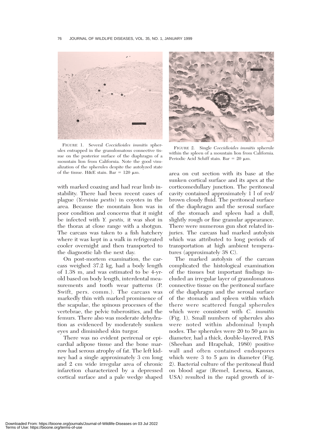

FIGURE 1. Several *Coccidioides immitis* spherules entrapped in the granulomatous connective tissue on the posterior surface of the diaphragm of a mountain lion from California. Note the good visualization of the spherules despite the autolyzed state of the tissue. H&E stain. Bar =  $120 \mu m$ .

with marked coaxing and had rear limb instability. There had been recent cases of plague (*Yersinia pestis*) in coyotes in the area. Because the mountain lion was in poor condition and concerns that it might be infected with *Y. pestis,* it was shot in the thorax at close range with a shotgun. The carcass was taken to a fish hatchery where it was kept in a walk in refrigerated cooler overnight and then transported to the diagnostic lab the next day.

On post-mortem examination, the carcass weighed 37.2 kg, had a body length of 1.38 m, and was estimated to be 4-yrold based on body length, interdental measurements and tooth wear patterns (P. Swift, pers. comm.). The carcass was markedly thin with marked prominence of the scapulae, the spinous processes of the vertebrae, the pelvic tuberosities, and the femurs. There also was moderate dehydration as evidenced by moderately sunken eyes and diminished skin turgor.

There was no evident perirenal or epicardial adipose tissue and the bone marrow had serous atrophy of fat. The left kidney had a single approximately 3 cm long and 2 cm wide irregular area of chronic infarction characterized by a depressed cortical surface and a pale wedge shaped



FIGURE 2. Single *Coccidioides immitis* spherule within the spleen of a mountain lion from California. Periodic Acid Schiff stain. Bar =  $20 \mu m$ .

area on cut section with its base at the sunken cortical surface and its apex at the corticomedullary junction. The peritoneal cavity contained approximately 1 l of red/ brown cloudy fluid. The peritoneal surface of the diaphragm and the serosal surface of the stomach and spleen had a dull, slightly rough or fine granular appearance. There were numerous gun shot related injuries. The carcass had marked autolysis which was attributed to long periods of transportation at high ambient temperatures (approximately 38 C).

The marked autolysis of the carcass complicated the histological examination of the tissues but important findings included an irregular layer of granulomatous connective tissue on the peritoneal surface of the diaphragm and the serosal surface of the stomach and spleen within which there were scattered fungal spherules which were consistent with *C. immitis* (Fig. 1). Small numbers of spherules also were noted within abdominal lymph nodes. The spherules were 20 to 50  $\mu$ m in diameter, had a thick, double-layered, PAS (Sheehan and Hrapchak, 1980) positive wall and often contained endospores which were 3 to 5  $\mu$ m in diameter (Fig. 2). Bacterial culture of the peritoneal fluid on blood agar (Remel, Lenexa, Kansas, USA) resulted in the rapid growth of ir